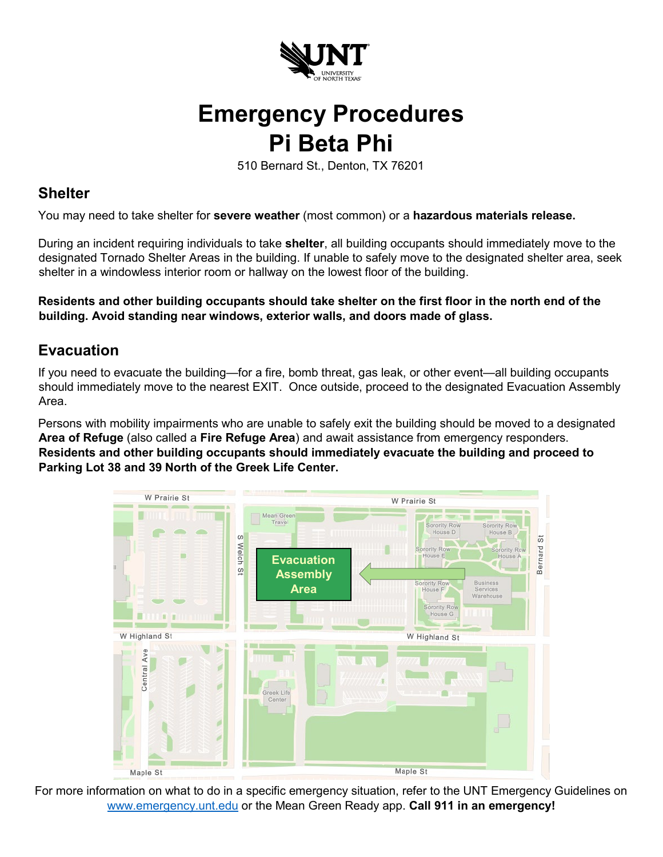

## **Emergency Procedures Pi Beta Phi**

510 Bernard St., Denton, TX 76201

## **Shelter**

You may need to take shelter for **severe weather** (most common) or a **hazardous materials release.**

During an incident requiring individuals to take **shelter**, all building occupants should immediately move to the designated Tornado Shelter Areas in the building. If unable to safely move to the designated shelter area, seek shelter in a windowless interior room or hallway on the lowest floor of the building.

**Residents and other building occupants should take shelter on the first floor in the north end of the building. Avoid standing near windows, exterior walls, and doors made of glass.** 

## **Evacuation**

If you need to evacuate the building—for a fire, bomb threat, gas leak, or other event—all building occupants should immediately move to the nearest EXIT. Once outside, proceed to the designated Evacuation Assembly Area.

Persons with mobility impairments who are unable to safely exit the building should be moved to a designated **Area of Refuge** (also called a **Fire Refuge Area**) and await assistance from emergency responders. **Residents and other building occupants should immediately evacuate the building and proceed to Parking Lot 38 and 39 North of the Greek Life Center.** 



For more information on what to do in a specific emergency situation, refer to the UNT Emergency Guidelines on [www.emergency.unt.edu](http://www.emergency.unt.edu/) or the Mean Green Ready app. **Call 911 in an emergency!**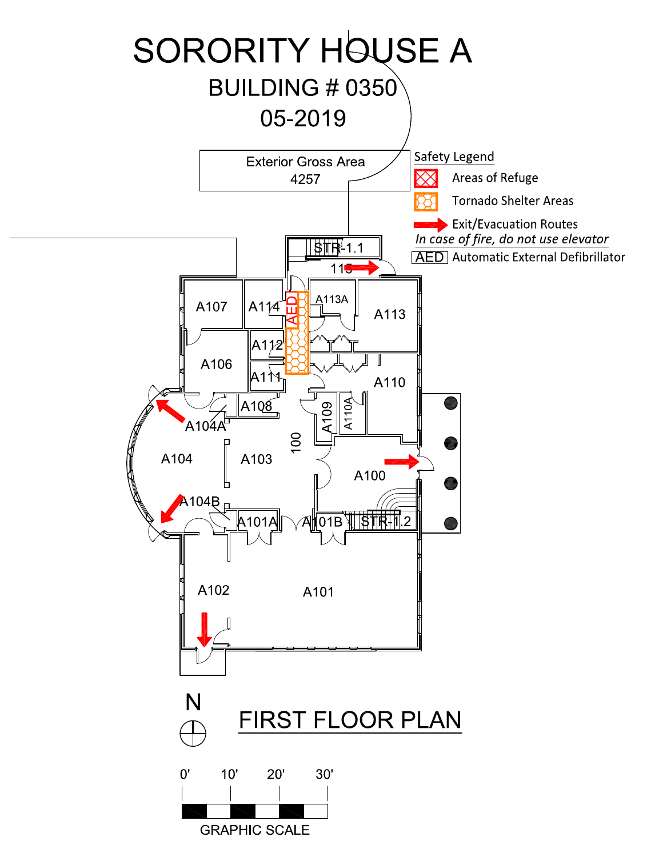